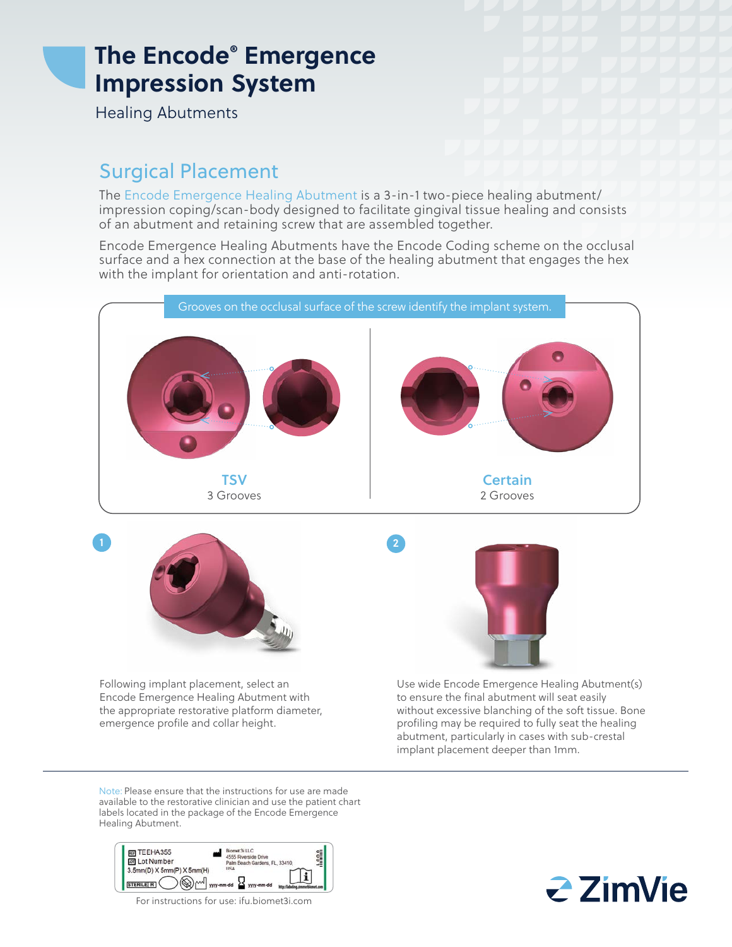## **The Encode® Emergence Impression System**

Healing Abutments

## Surgical Placement

The Encode Emergence Healing Abutment is a 3-in-1 two-piece healing abutment/ impression coping/scan-body designed to facilitate gingival tissue healing and consists of an abutment and retaining screw that are assembled together.

Encode Emergence Healing Abutments have the Encode Coding scheme on the occlusal surface and a hex connection at the base of the healing abutment that engages the hex with the implant for orientation and anti-rotation.



Encode Emergence Healing Abutment with the appropriate restorative platform diameter, emergence profile and collar height.

to ensure the final abutment will seat easily without excessive blanching of the soft tissue. Bone profiling may be required to fully seat the healing abutment, particularly in cases with sub-crestal implant placement deeper than 1mm.

Note: Please ensure that the instructions for use are made available to the restorative clinician and use the patient chart labels located in the package of the Encode Emergence Healing Abutment.



For instructions for use: ifu.biomet3i.com